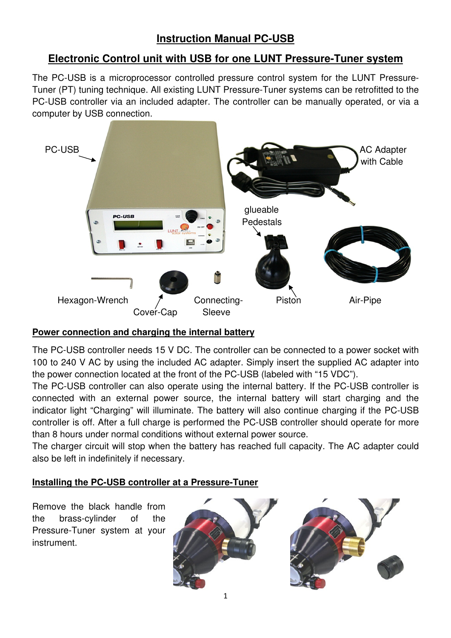# **Instruction Manual PC-USB**

## **Electronic Control unit with USB for one LUNT Pressure-Tuner system**

The PC-USB is a microprocessor controlled pressure control system for the LUNT Pressure-Tuner (PT) tuning technique. All existing LUNT Pressure-Tuner systems can be retrofitted to the PC-USB controller via an included adapter. The controller can be manually operated, or via a computer by USB connection.



## **Power connection and charging the internal battery**

The PC-USB controller needs 15 V DC. The controller can be connected to a power socket with 100 to 240 V AC by using the included AC adapter. Simply insert the supplied AC adapter into the power connection located at the front of the PC-USB (labeled with "15 VDC").

The PC-USB controller can also operate using the internal battery. If the PC-USB controller is connected with an external power source, the internal battery will start charging and the indicator light "Charging" will illuminate. The battery will also continue charging if the PC-USB controller is off. After a full charge is performed the PC-USB controller should operate for more than 8 hours under normal conditions without external power source.

The charger circuit will stop when the battery has reached full capacity. The AC adapter could also be left in indefinitely if necessary.

#### **Installing the PC-USB controller at a Pressure-Tuner**

Remove the black handle from the brass-cylinder of the Pressure-Tuner system at your instrument.



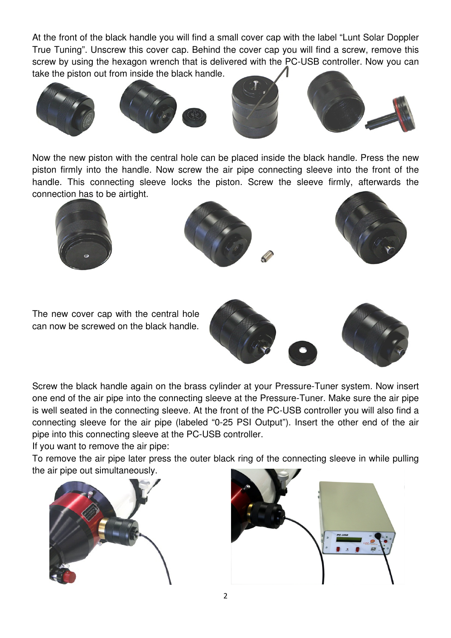At the front of the black handle you will find a small cover cap with the label "Lunt Solar Doppler True Tuning". Unscrew this cover cap. Behind the cover cap you will find a screw, remove this screw by using the hexagon wrench that is delivered with the PC-USB controller. Now you can take the piston out from inside the black handle.



Now the new piston with the central hole can be placed inside the black handle. Press the new piston firmly into the handle. Now screw the air pipe connecting sleeve into the front of the handle. This connecting sleeve locks the piston. Screw the sleeve firmly, afterwards the connection has to be airtight.







The new cover cap with the central hole can now be screwed on the black handle.



Screw the black handle again on the brass cylinder at your Pressure-Tuner system. Now insert one end of the air pipe into the connecting sleeve at the Pressure-Tuner. Make sure the air pipe is well seated in the connecting sleeve. At the front of the PC-USB controller you will also find a connecting sleeve for the air pipe (labeled "0-25 PSI Output"). Insert the other end of the air pipe into this connecting sleeve at the PC-USB controller.

If you want to remove the air pipe:

To remove the air pipe later press the outer black ring of the connecting sleeve in while pulling the air pipe out simultaneously.



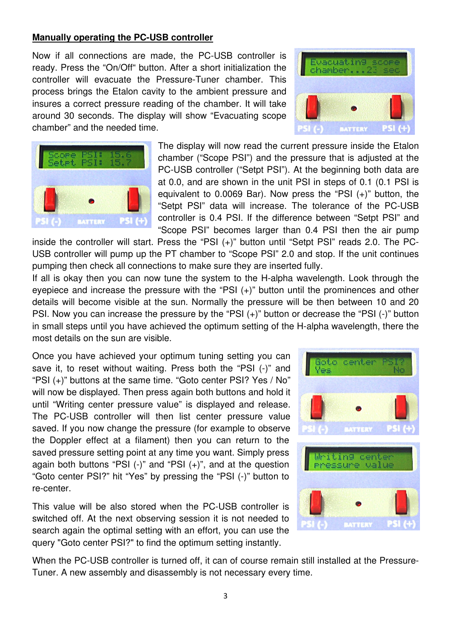#### **Manually operating the PC-USB controller**

Now if all connections are made, the PC-USB controller is ready. Press the "On/Off" button. After a short initialization the controller will evacuate the Pressure-Tuner chamber. This process brings the Etalon cavity to the ambient pressure and insures a correct pressure reading of the chamber. It will take around 30 seconds. The display will show "Evacuating scope chamber" and the needed time.





The display will now read the current pressure inside the Etalon chamber ("Scope PSI") and the pressure that is adjusted at the PC-USB controller ("Setpt PSI"). At the beginning both data are at 0.0, and are shown in the unit PSI in steps of 0.1 (0.1 PSI is equivalent to 0.0069 Bar). Now press the "PSI (+)" button, the "Setpt PSI" data will increase. The tolerance of the PC-USB controller is 0.4 PSI. If the difference between "Setpt PSI" and "Scope PSI" becomes larger than 0.4 PSI then the air pump

inside the controller will start. Press the "PSI (+)" button until "Setpt PSI" reads 2.0. The PC-USB controller will pump up the PT chamber to "Scope PSI" 2.0 and stop. If the unit continues pumping then check all connections to make sure they are inserted fully.

If all is okay then you can now tune the system to the H-alpha wavelength. Look through the eyepiece and increase the pressure with the "PSI (+)" button until the prominences and other details will become visible at the sun. Normally the pressure will be then between 10 and 20 PSI. Now you can increase the pressure by the "PSI (+)" button or decrease the "PSI (-)" button in small steps until you have achieved the optimum setting of the H-alpha wavelength, there the most details on the sun are visible.

Once you have achieved your optimum tuning setting you can save it, to reset without waiting. Press both the "PSI (-)" and "PSI (+)" buttons at the same time. "Goto center PSI? Yes / No" will now be displayed. Then press again both buttons and hold it until "Writing center pressure value" is displayed and release. The PC-USB controller will then list center pressure value saved. If you now change the pressure (for example to observe the Doppler effect at a filament) then you can return to the saved pressure setting point at any time you want. Simply press again both buttons "PSI  $(-)$ " and "PSI  $(+)$ ", and at the question "Goto center PSI?" hit "Yes" by pressing the "PSI (-)" button to re-center.

This value will be also stored when the PC-USB controller is switched off. At the next observing session it is not needed to search again the optimal setting with an effort, you can use the query "Goto center PSI?" to find the optimum setting instantly.



When the PC-USB controller is turned off, it can of course remain still installed at the Pressure-Tuner. A new assembly and disassembly is not necessary every time.